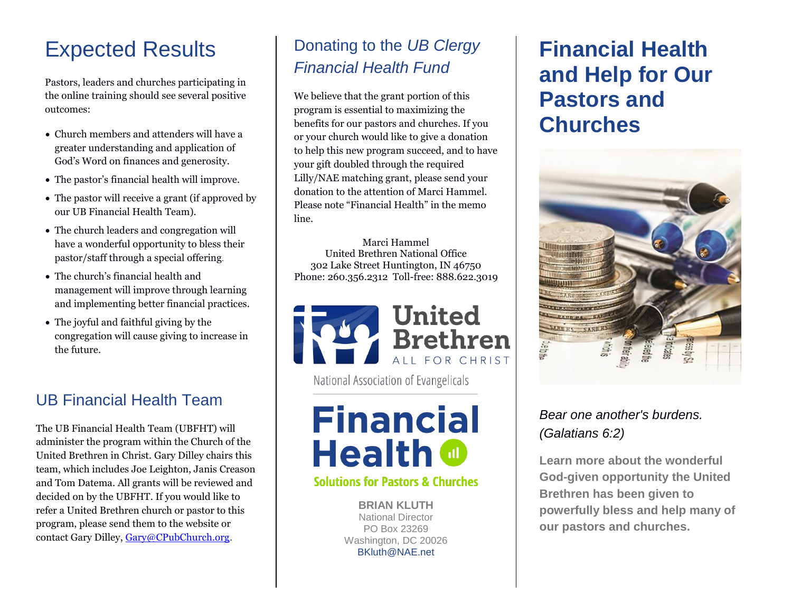### Expected Results

Pastors, leaders and churches participating in the online training should see several positive outcomes:

- Church members and attenders will have a greater understanding and application of God's Word on finances and generosity.
- The pastor's financial health will improve.
- The pastor will receive a grant (if approved by our UB Financial Health Team).
- The church leaders and congregation will have a wonderful opportunity to bless their pastor/staff through a special offering.
- The church's financial health and management will improve through learning and implementing better financial practices.
- The joyful and faithful giving by the congregation will cause giving to increase in the future.

### UB Financial Health Team

The UB Financial Health Team (UBFHT) will administer the program within the Church of the United Brethren in Christ. Gary Dilley chairs this team, which includes Joe Leighton, Janis Creason and Tom Datema. All grants will be reviewed and decided on by the UBFHT. If you would like to refer a United Brethren church or pastor to this program, please send them to the website or contact Gary Dilley, [Gary@CPubChurch.org.](mailto:Gary@CPubChurch.org)

### Donating to the *UB Clergy Financial Health Fund*

We believe that the grant portion of this program is essential to maximizing the benefits for our pastors and churches. If you or your church would like to give a donation to help this new program succeed, and to have your gift doubled through the required Lilly/NAE matching grant, please send your donation to the attention of Marci Hammel. Please note "Financial Health" in the memo line.

Marci Hammel United Brethren National Office 302 Lake Street Huntington, IN 46750 Phone: 260.356.2312 Toll-free: 888.622.3019



National Association of Evangelicals

# **Financial Health @**

#### **Solutions for Pastors & Churches**

**BRIAN KLUTH** National Director PO Box 23269 Washington, DC 20026 BKluth@NAE.net

### **Financial Health and Help for Our Pastors and Churches**



#### *Bear one another's burdens. (Galatians 6:2)*

**Learn more about the wonderful God-given opportunity the United Brethren has been given to powerfully bless and help many of our pastors and churches.**